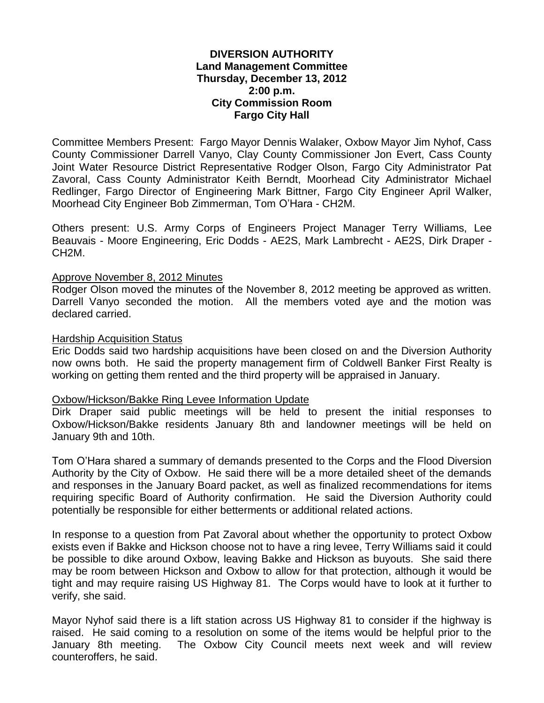### **DIVERSION AUTHORITY Land Management Committee Thursday, December 13, 2012 2:00 p.m. City Commission Room Fargo City Hall**

Committee Members Present: Fargo Mayor Dennis Walaker, Oxbow Mayor Jim Nyhof, Cass County Commissioner Darrell Vanyo, Clay County Commissioner Jon Evert, Cass County Joint Water Resource District Representative Rodger Olson, Fargo City Administrator Pat Zavoral, Cass County Administrator Keith Berndt, Moorhead City Administrator Michael Redlinger, Fargo Director of Engineering Mark Bittner, Fargo City Engineer April Walker, Moorhead City Engineer Bob Zimmerman, Tom O'Hara - CH2M.

Others present: U.S. Army Corps of Engineers Project Manager Terry Williams, Lee Beauvais - Moore Engineering, Eric Dodds - AE2S, Mark Lambrecht - AE2S, Dirk Draper - CH2M.

#### Approve November 8, 2012 Minutes

Rodger Olson moved the minutes of the November 8, 2012 meeting be approved as written. Darrell Vanyo seconded the motion. All the members voted aye and the motion was declared carried.

#### Hardship Acquisition Status

Eric Dodds said two hardship acquisitions have been closed on and the Diversion Authority now owns both. He said the property management firm of Coldwell Banker First Realty is working on getting them rented and the third property will be appraised in January.

#### Oxbow/Hickson/Bakke Ring Levee Information Update

Dirk Draper said public meetings will be held to present the initial responses to Oxbow/Hickson/Bakke residents January 8th and landowner meetings will be held on January 9th and 10th.

Tom O'Hara shared a summary of demands presented to the Corps and the Flood Diversion Authority by the City of Oxbow. He said there will be a more detailed sheet of the demands and responses in the January Board packet, as well as finalized recommendations for items requiring specific Board of Authority confirmation. He said the Diversion Authority could potentially be responsible for either betterments or additional related actions.

In response to a question from Pat Zavoral about whether the opportunity to protect Oxbow exists even if Bakke and Hickson choose not to have a ring levee, Terry Williams said it could be possible to dike around Oxbow, leaving Bakke and Hickson as buyouts. She said there may be room between Hickson and Oxbow to allow for that protection, although it would be tight and may require raising US Highway 81. The Corps would have to look at it further to verify, she said.

Mayor Nyhof said there is a lift station across US Highway 81 to consider if the highway is raised. He said coming to a resolution on some of the items would be helpful prior to the January 8th meeting. The Oxbow City Council meets next week and will review counteroffers, he said.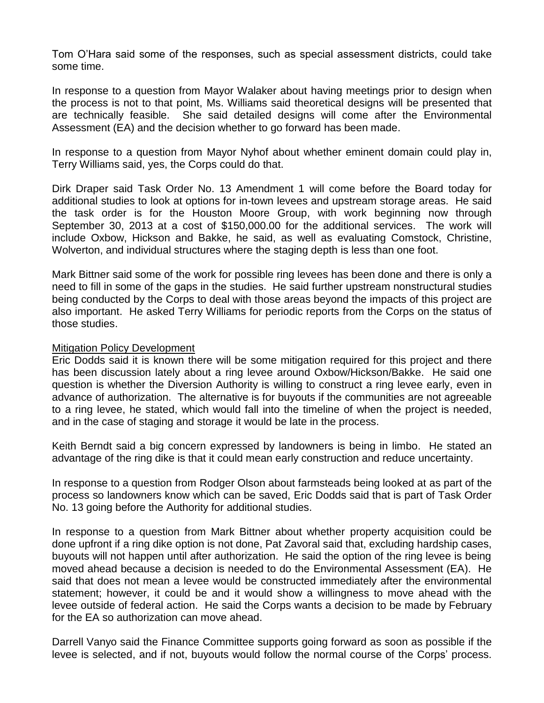Tom O'Hara said some of the responses, such as special assessment districts, could take some time.

In response to a question from Mayor Walaker about having meetings prior to design when the process is not to that point, Ms. Williams said theoretical designs will be presented that are technically feasible. She said detailed designs will come after the Environmental Assessment (EA) and the decision whether to go forward has been made.

In response to a question from Mayor Nyhof about whether eminent domain could play in, Terry Williams said, yes, the Corps could do that.

Dirk Draper said Task Order No. 13 Amendment 1 will come before the Board today for additional studies to look at options for in-town levees and upstream storage areas. He said the task order is for the Houston Moore Group, with work beginning now through September 30, 2013 at a cost of \$150,000.00 for the additional services. The work will include Oxbow, Hickson and Bakke, he said, as well as evaluating Comstock, Christine, Wolverton, and individual structures where the staging depth is less than one foot.

Mark Bittner said some of the work for possible ring levees has been done and there is only a need to fill in some of the gaps in the studies. He said further upstream nonstructural studies being conducted by the Corps to deal with those areas beyond the impacts of this project are also important. He asked Terry Williams for periodic reports from the Corps on the status of those studies.

### Mitigation Policy Development

Eric Dodds said it is known there will be some mitigation required for this project and there has been discussion lately about a ring levee around Oxbow/Hickson/Bakke. He said one question is whether the Diversion Authority is willing to construct a ring levee early, even in advance of authorization. The alternative is for buyouts if the communities are not agreeable to a ring levee, he stated, which would fall into the timeline of when the project is needed, and in the case of staging and storage it would be late in the process.

Keith Berndt said a big concern expressed by landowners is being in limbo. He stated an advantage of the ring dike is that it could mean early construction and reduce uncertainty.

In response to a question from Rodger Olson about farmsteads being looked at as part of the process so landowners know which can be saved, Eric Dodds said that is part of Task Order No. 13 going before the Authority for additional studies.

In response to a question from Mark Bittner about whether property acquisition could be done upfront if a ring dike option is not done, Pat Zavoral said that, excluding hardship cases, buyouts will not happen until after authorization. He said the option of the ring levee is being moved ahead because a decision is needed to do the Environmental Assessment (EA). He said that does not mean a levee would be constructed immediately after the environmental statement; however, it could be and it would show a willingness to move ahead with the levee outside of federal action. He said the Corps wants a decision to be made by February for the EA so authorization can move ahead.

Darrell Vanyo said the Finance Committee supports going forward as soon as possible if the levee is selected, and if not, buyouts would follow the normal course of the Corps' process.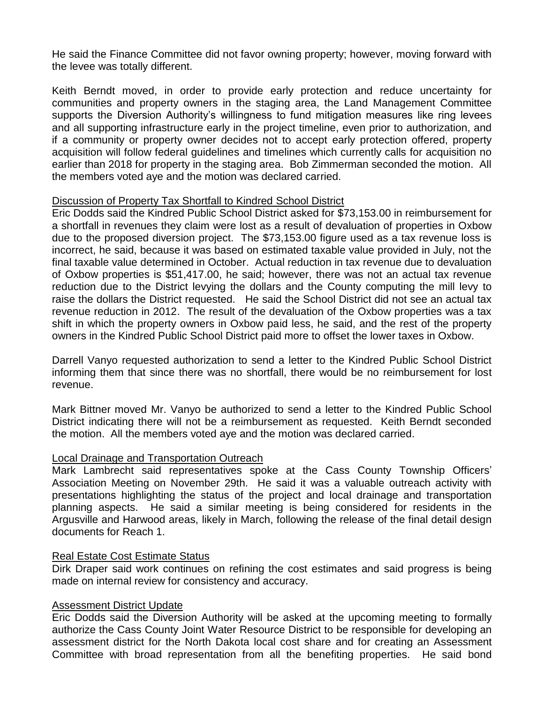He said the Finance Committee did not favor owning property; however, moving forward with the levee was totally different.

Keith Berndt moved, in order to provide early protection and reduce uncertainty for communities and property owners in the staging area, the Land Management Committee supports the Diversion Authority's willingness to fund mitigation measures like ring levees and all supporting infrastructure early in the project timeline, even prior to authorization, and if a community or property owner decides not to accept early protection offered, property acquisition will follow federal guidelines and timelines which currently calls for acquisition no earlier than 2018 for property in the staging area. Bob Zimmerman seconded the motion. All the members voted aye and the motion was declared carried.

# Discussion of Property Tax Shortfall to Kindred School District

Eric Dodds said the Kindred Public School District asked for \$73,153.00 in reimbursement for a shortfall in revenues they claim were lost as a result of devaluation of properties in Oxbow due to the proposed diversion project. The \$73,153.00 figure used as a tax revenue loss is incorrect, he said, because it was based on estimated taxable value provided in July, not the final taxable value determined in October. Actual reduction in tax revenue due to devaluation of Oxbow properties is \$51,417.00, he said; however, there was not an actual tax revenue reduction due to the District levying the dollars and the County computing the mill levy to raise the dollars the District requested. He said the School District did not see an actual tax revenue reduction in 2012. The result of the devaluation of the Oxbow properties was a tax shift in which the property owners in Oxbow paid less, he said, and the rest of the property owners in the Kindred Public School District paid more to offset the lower taxes in Oxbow.

Darrell Vanyo requested authorization to send a letter to the Kindred Public School District informing them that since there was no shortfall, there would be no reimbursement for lost revenue.

Mark Bittner moved Mr. Vanyo be authorized to send a letter to the Kindred Public School District indicating there will not be a reimbursement as requested. Keith Berndt seconded the motion. All the members voted aye and the motion was declared carried.

# Local Drainage and Transportation Outreach

Mark Lambrecht said representatives spoke at the Cass County Township Officers' Association Meeting on November 29th. He said it was a valuable outreach activity with presentations highlighting the status of the project and local drainage and transportation planning aspects. He said a similar meeting is being considered for residents in the Argusville and Harwood areas, likely in March, following the release of the final detail design documents for Reach 1.

# Real Estate Cost Estimate Status

Dirk Draper said work continues on refining the cost estimates and said progress is being made on internal review for consistency and accuracy.

# Assessment District Update

Eric Dodds said the Diversion Authority will be asked at the upcoming meeting to formally authorize the Cass County Joint Water Resource District to be responsible for developing an assessment district for the North Dakota local cost share and for creating an Assessment Committee with broad representation from all the benefiting properties. He said bond